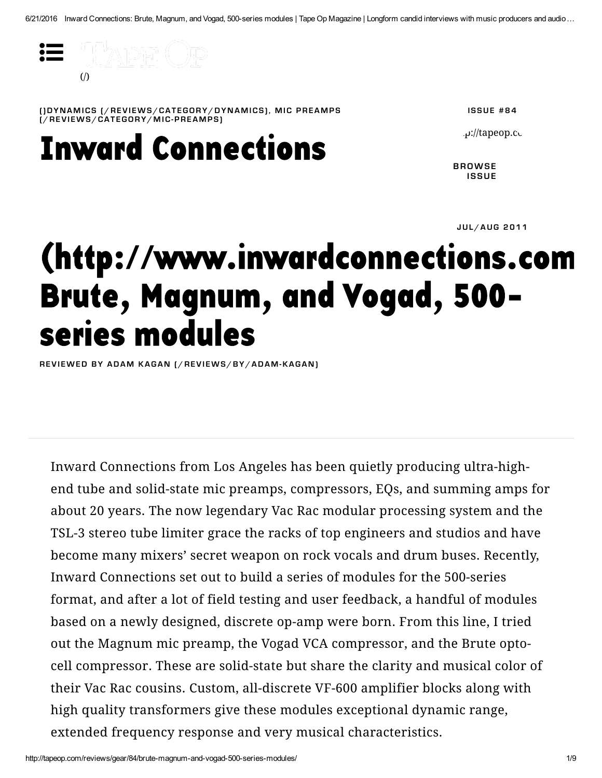

[\(](http://tapeop.com/reviews/gear/84/brute-magnum-and-vogad-500-series-modules/)JDYNAMICS[/REVIEW[S](http://tapeop.com/reviews/category/dynamics)/CATEGORY/DYNAMICS], MIC PREAMPS  $\tilde{I}$ /REVIEWS/CATEGORY/MIC-PREAMPS)

**Inward Connections** 

**ISSUE #84** 

 $\mu$ : $\mu$ ://tapeop.com/

**BROWSE ISSUE** 

JUL/AUG 2011

## (http://www.inwardconnections.com **Brute, Magnum, and Vogad, 500**series modules

REVIEWEDBY ADAM KAGAN [/REVIEWS/BY/ADAM-KAGAN]

Inward Connections from Los Angeles has been quietly producing ultra-highend tube and solid-state mic preamps, compressors, EQs, and summing amps for about 20 years. The now legendary Vac Rac modular processing system and the TSL-3 stereo tube limiter grace the racks of top engineers and studios and have become many mixers' secret weapon on rock vocals and drum buses. Recently, Inward Connections set out to build a series of modules for the 500-series format, and after a lot of field testing and user feedback, a handful of modules based on a newly designed, discrete op-amp were born. From this line, I tried out the Magnum mic preamp, the Vogad VCA compressor, and the Brute optocell compressor. These are solid-state but share the clarity and musical color of their Vac Rac cousins. Custom, all-discrete VF-600 amplifier blocks along with high quality transformers give these modules exceptional dynamic range, extended frequency response and very musical characteristics.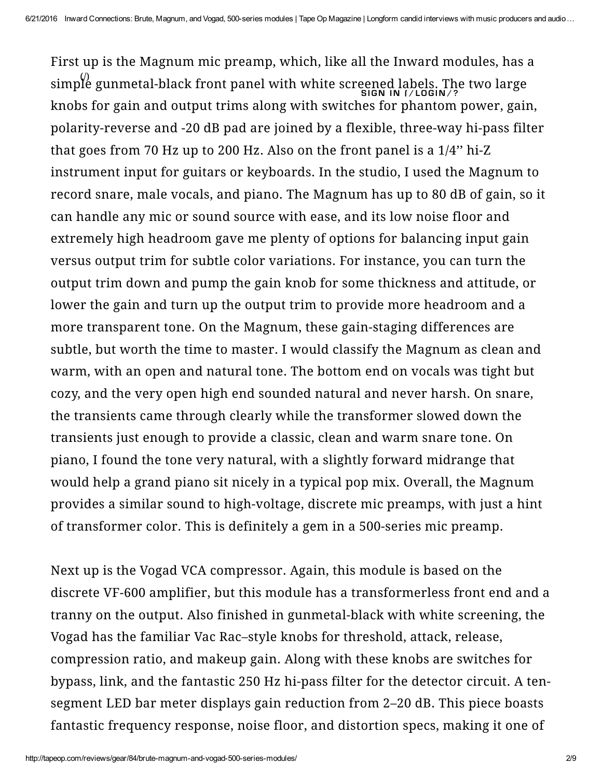First [up is the Magnum m](http://tapeop.com/)ic preamp, which, like all the Inward modules, has a simple gunmetal-black front panel with white screened labels. The two large knobs for gain and output trims along with switches for phantom power, gain, polarity-reverse and -20 dB pad are joined by a flexible, three-way hi-pass filter that goes from 70 Hz up to 200 Hz. Also on the front panel is a 1/4'' hi-Z instrument input for guitars or keyboards. In the studio, I used the Magnum to record snare, male vocals, and piano. The Magnum has up to 80 dB of gain, so it can handle any mic or sound source with ease, and its low noise floor and extremely high headroom gave me plenty of options for balancing input gain versus output trim for subtle color variations. For instance, you can turn the output trim down and pump the gain knob for some thickness and attitude, or lower the gain and turn up the output trim to provide more headroom and a more transparent tone. On the Magnum, these gain-staging differences are subtle, but worth the time to master. I would classify the Magnum as clean and warm, with an open and natural tone. The bottom end on vocals was tight but cozy, and the very open high end sounded natural and never harsh. On snare, the transients came through clearly while the transformer slowed down the transients just enough to provide a classic, clean and warm snare tone. On piano, I found the tone very natural, with a slightly forward midrange that would help a grand piano sit nicely in a typical pop mix. Overall, the Magnum provides a similar sound to high-voltage, discrete mic preamps, with just a hint of transformer color. This is definitely a gem in a 500-series mic preamp. SIGN IN 1/LOGIN/? (/)

Next up is the Vogad VCA compressor. Again, this module is based on the discrete VF-600 amplifier, but this module has a transformerless front end and a tranny on the output. Also finished in gunmetal-black with white screening, the Vogad has the familiar Vac Rac–style knobs for threshold, attack, release, compression ratio, and makeup gain. Along with these knobs are switches for bypass, link, and the fantastic 250 Hz hi-pass filter for the detector circuit. A tensegment LED bar meter displays gain reduction from 2–20 dB. This piece boasts fantastic frequency response, noise floor, and distortion specs, making it one of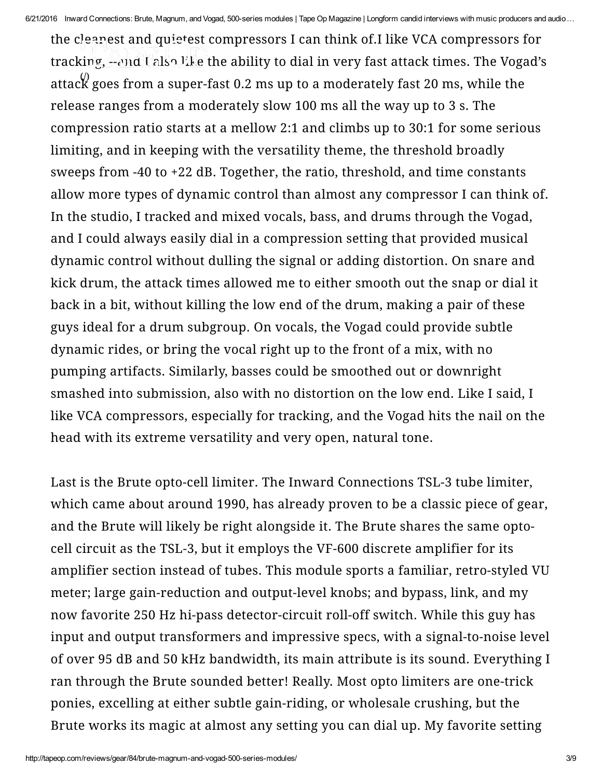6/21/2016 Inward Connections: Brute, Magnum, and Vogad, 500-series modules | Tape Op Magazine | Longform candid interviews with music producers and audio ...

the c[leanest and quietest c](http://tapeop.com/)ompressors I can think of.I like VCA compressors for tracking, --and Lalso like the ability to dial in very fast attack times. The Vogad's attac $\stackrel{\text{\normalsize{(}}\!\!\!\!\!\backslash}$  goes from a super-fast 0.2 ms up to a mode[rately fast 20 ms, while the](http://tapeop.com/login/?next=/reviews/gear/84/brute-magnum-and-vogad-500-series-modules/) release ranges from a moderately slow 100 ms all the way up to 3 s. The compression ratio starts at a mellow 2:1 and climbs up to 30:1 for some serious limiting, and in keeping with the versatility theme, the threshold broadly sweeps from -40 to +22 dB. Together, the ratio, threshold, and time constants allow more types of dynamic control than almost any compressor I can think of. In the studio, I tracked and mixed vocals, bass, and drums through the Vogad, and I could always easily dial in a compression setting that provided musical dynamic control without dulling the signal or adding distortion. On snare and kick drum, the attack times allowed me to either smooth out the snap or dial it back in a bit, without killing the low end of the drum, making a pair of these guys ideal for a drum subgroup. On vocals, the Vogad could provide subtle dynamic rides, or bring the vocal right up to the front of a mix, with no pumping artifacts. Similarly, basses could be smoothed out or downright smashed into submission, also with no distortion on the low end. Like I said, I like VCA compressors, especially for tracking, and the Vogad hits the nail on the head with its extreme versatility and very open, natural tone.

Last is the Brute opto-cell limiter. The Inward Connections TSL-3 tube limiter, which came about around 1990, has already proven to be a classic piece of gear, and the Brute will likely be right alongside it. The Brute shares the same optocell circuit as the TSL-3, but it employs the VF-600 discrete amplifier for its amplifier section instead of tubes. This module sports a familiar, retro-styled VU meter; large gain-reduction and output-level knobs; and bypass, link, and my now favorite 250 Hz hi-pass detector-circuit roll-off switch. While this guy has input and output transformers and impressive specs, with a signal-to-noise level of over 95 dB and 50 kHz bandwidth, its main attribute is its sound. Everything I ran through the Brute sounded better! Really. Most opto limiters are one-trick ponies, excelling at either subtle gain-riding, or wholesale crushing, but the Brute works its magic at almost any setting you can dial up. My favorite setting